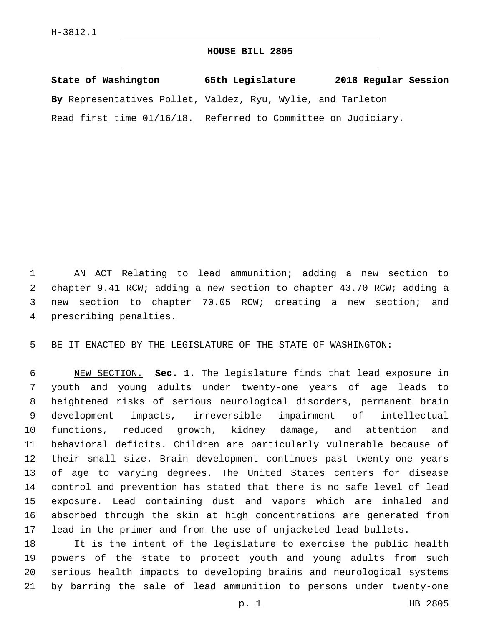## **HOUSE BILL 2805**

**State of Washington 65th Legislature 2018 Regular Session By** Representatives Pollet, Valdez, Ryu, Wylie, and Tarleton Read first time 01/16/18. Referred to Committee on Judiciary.

 AN ACT Relating to lead ammunition; adding a new section to chapter 9.41 RCW; adding a new section to chapter 43.70 RCW; adding a new section to chapter 70.05 RCW; creating a new section; and 4 prescribing penalties.

BE IT ENACTED BY THE LEGISLATURE OF THE STATE OF WASHINGTON:

 NEW SECTION. **Sec. 1.** The legislature finds that lead exposure in youth and young adults under twenty-one years of age leads to heightened risks of serious neurological disorders, permanent brain development impacts, irreversible impairment of intellectual functions, reduced growth, kidney damage, and attention and behavioral deficits. Children are particularly vulnerable because of their small size. Brain development continues past twenty-one years of age to varying degrees. The United States centers for disease control and prevention has stated that there is no safe level of lead exposure. Lead containing dust and vapors which are inhaled and absorbed through the skin at high concentrations are generated from lead in the primer and from the use of unjacketed lead bullets.

 It is the intent of the legislature to exercise the public health powers of the state to protect youth and young adults from such serious health impacts to developing brains and neurological systems by barring the sale of lead ammunition to persons under twenty-one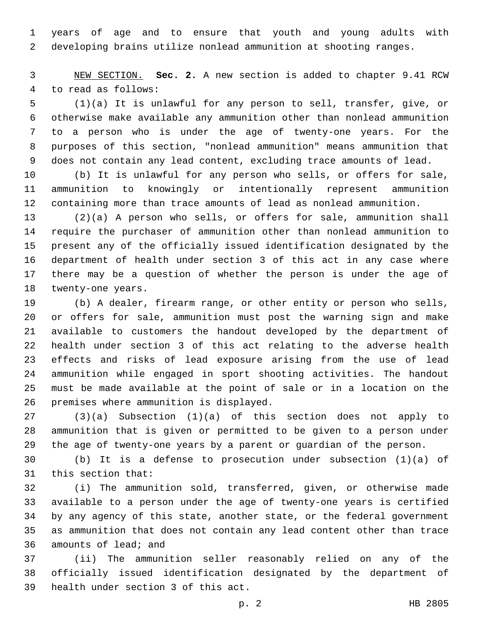years of age and to ensure that youth and young adults with developing brains utilize nonlead ammunition at shooting ranges.

 NEW SECTION. **Sec. 2.** A new section is added to chapter 9.41 RCW 4 to read as follows:

 (1)(a) It is unlawful for any person to sell, transfer, give, or otherwise make available any ammunition other than nonlead ammunition to a person who is under the age of twenty-one years. For the purposes of this section, "nonlead ammunition" means ammunition that does not contain any lead content, excluding trace amounts of lead.

 (b) It is unlawful for any person who sells, or offers for sale, ammunition to knowingly or intentionally represent ammunition containing more than trace amounts of lead as nonlead ammunition.

 (2)(a) A person who sells, or offers for sale, ammunition shall require the purchaser of ammunition other than nonlead ammunition to present any of the officially issued identification designated by the department of health under section 3 of this act in any case where there may be a question of whether the person is under the age of 18 twenty-one years.

 (b) A dealer, firearm range, or other entity or person who sells, or offers for sale, ammunition must post the warning sign and make available to customers the handout developed by the department of health under section 3 of this act relating to the adverse health effects and risks of lead exposure arising from the use of lead ammunition while engaged in sport shooting activities. The handout must be made available at the point of sale or in a location on the 26 premises where ammunition is displayed.

 (3)(a) Subsection (1)(a) of this section does not apply to ammunition that is given or permitted to be given to a person under the age of twenty-one years by a parent or guardian of the person.

 (b) It is a defense to prosecution under subsection (1)(a) of 31 this section that:

 (i) The ammunition sold, transferred, given, or otherwise made available to a person under the age of twenty-one years is certified by any agency of this state, another state, or the federal government as ammunition that does not contain any lead content other than trace 36 amounts of lead; and

 (ii) The ammunition seller reasonably relied on any of the officially issued identification designated by the department of 39 health under section 3 of this act.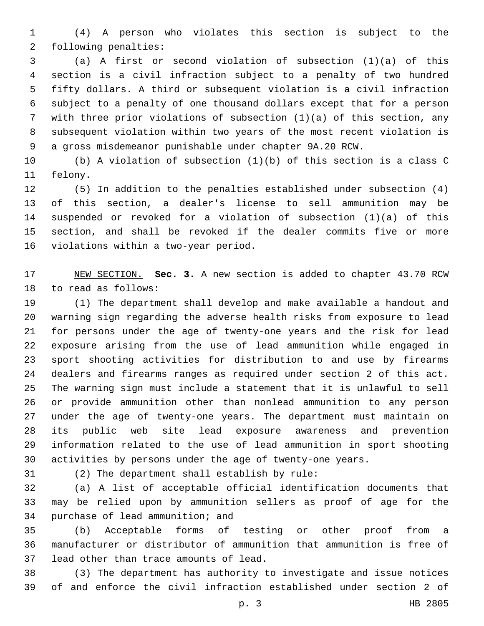(4) A person who violates this section is subject to the 2 following penalties:

 (a) A first or second violation of subsection (1)(a) of this section is a civil infraction subject to a penalty of two hundred fifty dollars. A third or subsequent violation is a civil infraction subject to a penalty of one thousand dollars except that for a person with three prior violations of subsection (1)(a) of this section, any subsequent violation within two years of the most recent violation is a gross misdemeanor punishable under chapter 9A.20 RCW.

 (b) A violation of subsection (1)(b) of this section is a class C 11 felony.

 (5) In addition to the penalties established under subsection (4) of this section, a dealer's license to sell ammunition may be suspended or revoked for a violation of subsection (1)(a) of this section, and shall be revoked if the dealer commits five or more 16 violations within a two-year period.

 NEW SECTION. **Sec. 3.** A new section is added to chapter 43.70 RCW 18 to read as follows:

 (1) The department shall develop and make available a handout and warning sign regarding the adverse health risks from exposure to lead for persons under the age of twenty-one years and the risk for lead exposure arising from the use of lead ammunition while engaged in sport shooting activities for distribution to and use by firearms dealers and firearms ranges as required under section 2 of this act. The warning sign must include a statement that it is unlawful to sell or provide ammunition other than nonlead ammunition to any person under the age of twenty-one years. The department must maintain on its public web site lead exposure awareness and prevention information related to the use of lead ammunition in sport shooting activities by persons under the age of twenty-one years.

(2) The department shall establish by rule:31

 (a) A list of acceptable official identification documents that may be relied upon by ammunition sellers as proof of age for the 34 purchase of lead ammunition; and

 (b) Acceptable forms of testing or other proof from a manufacturer or distributor of ammunition that ammunition is free of 37 lead other than trace amounts of lead.

 (3) The department has authority to investigate and issue notices of and enforce the civil infraction established under section 2 of